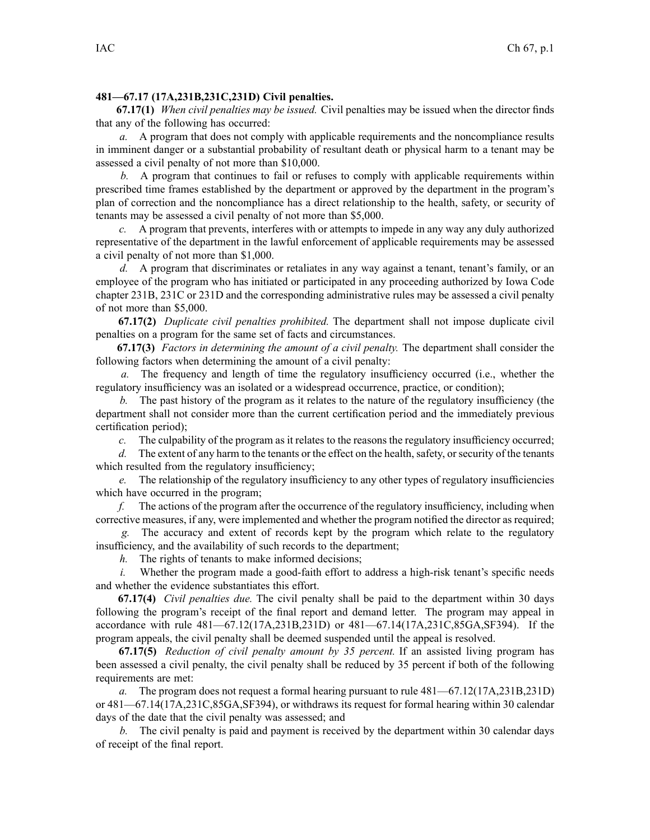## **481—67.17 (17A,231B,231C,231D) Civil penalties.**

**67.17(1)** *When civil penalties may be issued.* Civil penalties may be issued when the director finds that any of the following has occurred:

*a.* A program that does not comply with applicable requirements and the noncompliance results in imminent danger or <sup>a</sup> substantial probability of resultant death or physical harm to <sup>a</sup> tenant may be assessed <sup>a</sup> civil penalty of not more than \$10,000.

*b.* A program that continues to fail or refuses to comply with applicable requirements within prescribed time frames established by the department or approved by the department in the program's plan of correction and the noncompliance has <sup>a</sup> direct relationship to the health, safety, or security of tenants may be assessed <sup>a</sup> civil penalty of not more than \$5,000.

*c.* A program that prevents, interferes with or attempts to impede in any way any duly authorized representative of the department in the lawful enforcement of applicable requirements may be assessed <sup>a</sup> civil penalty of not more than \$1,000.

*d.* A program that discriminates or retaliates in any way against <sup>a</sup> tenant, tenant's family, or an employee of the program who has initiated or participated in any proceeding authorized by Iowa Code chapter [231B](https://www.legis.iowa.gov/docs/ico/chapter/231B.pdf), [231C](https://www.legis.iowa.gov/docs/ico/chapter/231C.pdf) or [231D](https://www.legis.iowa.gov/docs/ico/chapter/231D.pdf) and the corresponding administrative rules may be assessed <sup>a</sup> civil penalty of not more than \$5,000.

**67.17(2)** *Duplicate civil penalties prohibited.* The department shall not impose duplicate civil penalties on <sup>a</sup> program for the same set of facts and circumstances.

**67.17(3)** *Factors in determining the amount of <sup>a</sup> civil penalty.* The department shall consider the following factors when determining the amount of <sup>a</sup> civil penalty:

*a.* The frequency and length of time the regulatory insufficiency occurred (i.e., whether the regulatory insufficiency was an isolated or <sup>a</sup> widespread occurrence, practice, or condition);

*b.* The pas<sup>t</sup> history of the program as it relates to the nature of the regulatory insufficiency (the department shall not consider more than the current certification period and the immediately previous certification period);

*c.* The culpability of the program as it relates to the reasons the regulatory insufficiency occurred;

*d.* The extent of any harm to the tenants or the effect on the health, safety, or security of the tenants which resulted from the regulatory insufficiency;

*e.* The relationship of the regulatory insufficiency to any other types of regulatory insufficiencies which have occurred in the program;

*f.* The actions of the program after the occurrence of the regulatory insufficiency, including when corrective measures, if any, were implemented and whether the program notified the director as required;

*g.* The accuracy and extent of records kept by the program which relate to the regulatory insufficiency, and the availability of such records to the department;

*h.* The rights of tenants to make informed decisions;

*i.* Whether the program made a good-faith effort to address a high-risk tenant's specific needs and whether the evidence substantiates this effort.

**67.17(4)** *Civil penalties due.* The civil penalty shall be paid to the department within 30 days following the program's receipt of the final repor<sup>t</sup> and demand letter. The program may appeal in accordance with rule 481—67.12(17A,231B,231D) or 481—67.14(17A,231C,85GA,SF394). If the program appeals, the civil penalty shall be deemed suspended until the appeal is resolved.

**67.17(5)** *Reduction of civil penalty amount by 35 percent.* If an assisted living program has been assessed <sup>a</sup> civil penalty, the civil penalty shall be reduced by 35 percen<sup>t</sup> if both of the following requirements are met:

*a.* The program does not reques<sup>t</sup> <sup>a</sup> formal hearing pursuan<sup>t</sup> to rule 481—67.12(17A,231B,231D) or 481—67.14(17A,231C,85GA,SF394), or withdraws its reques<sup>t</sup> for formal hearing within 30 calendar days of the date that the civil penalty was assessed; and

*b.* The civil penalty is paid and paymen<sup>t</sup> is received by the department within 30 calendar days of receipt of the final report.